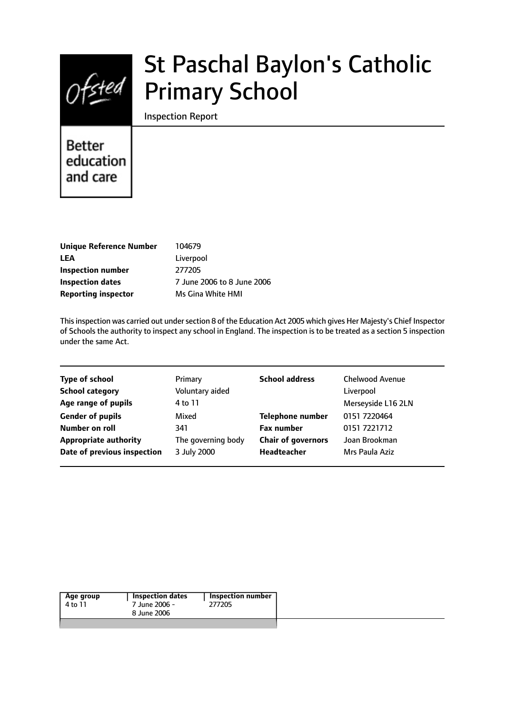

# St Paschal Baylon's Catholic Primary School

Inspection Report

# **Better** education and care

| <b>Unique Reference Number</b> |
|--------------------------------|
| LEA                            |
| Inspection number              |
| <b>Inspection dates</b>        |
| <b>Reporting inspector</b>     |

**Unique Reference Number** 104679 Liverpool **Inspection number** 277205 **Inspection dates** 7 June 2006 to 8 June 2006 **Ms Gina White HMI** 

Thisinspection was carried out undersection 8 of the Education Act 2005 which gives Her Majesty's Chief Inspector of Schools the authority to inspect any school in England. The inspection is to be treated as a section 5 inspection under the same Act.

| <b>Type of school</b>        | Primary            | <b>School address</b>     | <b>Chelwood Avenue</b> |
|------------------------------|--------------------|---------------------------|------------------------|
| <b>School category</b>       | Voluntary aided    |                           | Liverpool              |
| Age range of pupils          | 4 to 11            |                           | Merseyside L16 2LN     |
| <b>Gender of pupils</b>      | Mixed              | <b>Telephone number</b>   | 0151 7220464           |
| Number on roll               | 341                | <b>Fax number</b>         | 0151 7221712           |
| <b>Appropriate authority</b> | The governing body | <b>Chair of governors</b> | Joan Brookman          |
| Date of previous inspection  | 3 July 2000        | Headteacher               | Mrs Paula Aziz         |
|                              |                    |                           |                        |

| Age group | Inspection dates | Inspection number |
|-----------|------------------|-------------------|
| 4 to 11   | 7 June 2006 -    | 277205            |
|           | 8 June 2006      |                   |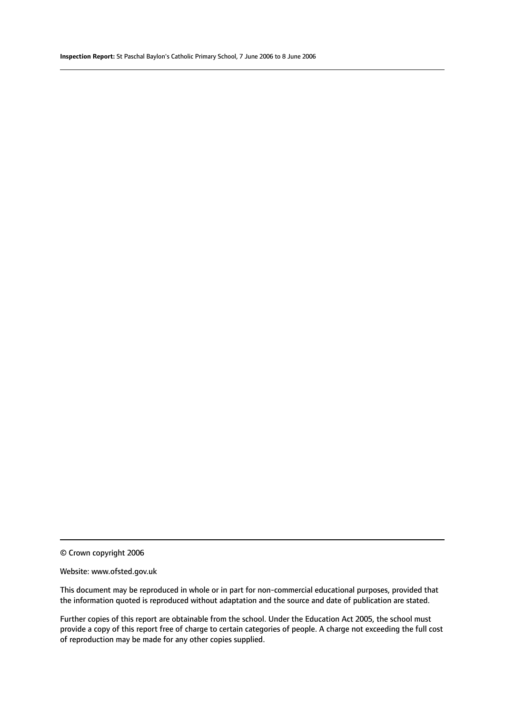© Crown copyright 2006

#### Website: www.ofsted.gov.uk

This document may be reproduced in whole or in part for non-commercial educational purposes, provided that the information quoted is reproduced without adaptation and the source and date of publication are stated.

Further copies of this report are obtainable from the school. Under the Education Act 2005, the school must provide a copy of this report free of charge to certain categories of people. A charge not exceeding the full cost of reproduction may be made for any other copies supplied.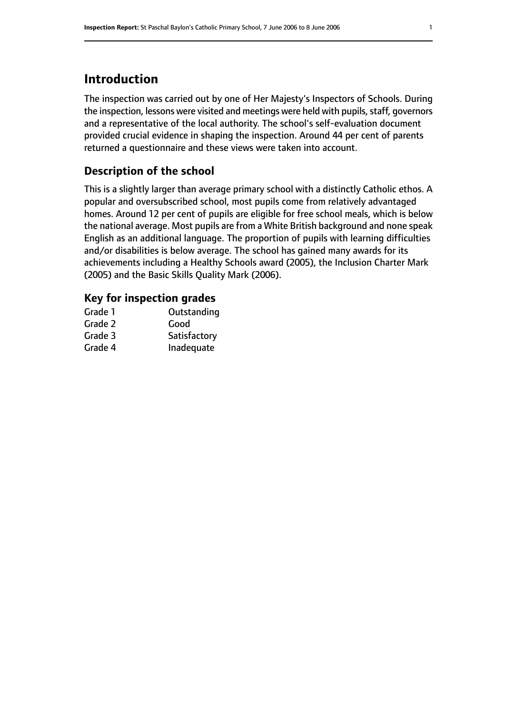# **Introduction**

The inspection was carried out by one of Her Majesty's Inspectors of Schools. During the inspection, lessons were visited and meetings were held with pupils, staff, governors and a representative of the local authority. The school's self-evaluation document provided crucial evidence in shaping the inspection. Around 44 per cent of parents returned a questionnaire and these views were taken into account.

# **Description of the school**

This is a slightly larger than average primary school with a distinctly Catholic ethos. A popular and oversubscribed school, most pupils come from relatively advantaged homes. Around 12 per cent of pupils are eligible for free school meals, which is below the national average. Most pupils are from a White British background and none speak English as an additional language. The proportion of pupils with learning difficulties and/or disabilities is below average. The school has gained many awards for its achievements including a Healthy Schools award (2005), the Inclusion Charter Mark (2005) and the Basic Skills Quality Mark (2006).

#### **Key for inspection grades**

| Grade 1 | Outstanding  |
|---------|--------------|
| Grade 2 | Good         |
| Grade 3 | Satisfactory |
| Grade 4 | Inadequate   |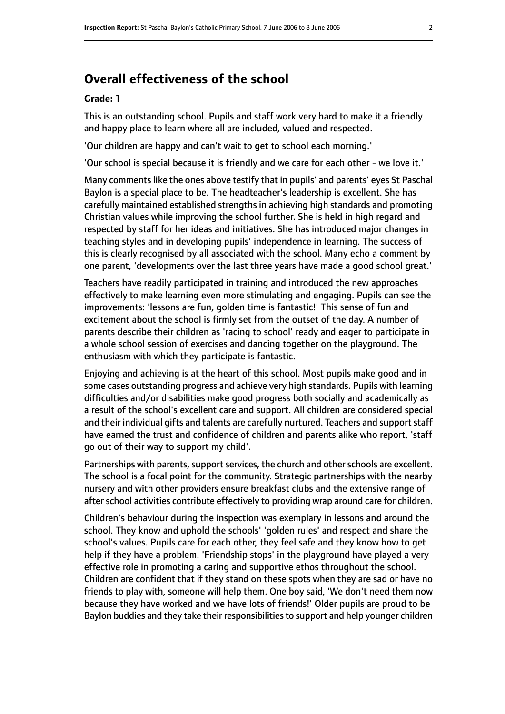# **Overall effectiveness of the school**

#### **Grade: 1**

This is an outstanding school. Pupils and staff work very hard to make it a friendly and happy place to learn where all are included, valued and respected.

'Our children are happy and can't wait to get to school each morning.'

'Our school is special because it is friendly and we care for each other - we love it.'

Many commentslike the ones above testify that in pupils' and parents' eyes St Paschal Baylon is a special place to be. The headteacher's leadership is excellent. She has carefully maintained established strengths in achieving high standards and promoting Christian values while improving the school further. She is held in high regard and respected by staff for her ideas and initiatives. She has introduced major changes in teaching styles and in developing pupils' independence in learning. The success of this is clearly recognised by all associated with the school. Many echo a comment by one parent, 'developments over the last three years have made a good school great.'

Teachers have readily participated in training and introduced the new approaches effectively to make learning even more stimulating and engaging. Pupils can see the improvements: 'lessons are fun, golden time is fantastic!' This sense of fun and excitement about the school is firmly set from the outset of the day. A number of parents describe their children as 'racing to school' ready and eager to participate in a whole school session of exercises and dancing together on the playground. The enthusiasm with which they participate is fantastic.

Enjoying and achieving is at the heart of this school. Most pupils make good and in some cases outstanding progress and achieve very high standards. Pupils with learning difficulties and/or disabilities make good progress both socially and academically as a result of the school's excellent care and support. All children are considered special and their individual gifts and talents are carefully nurtured. Teachers and support staff have earned the trust and confidence of children and parents alike who report, 'staff go out of their way to support my child'.

Partnerships with parents, support services, the church and other schools are excellent. The school is a focal point for the community. Strategic partnerships with the nearby nursery and with other providers ensure breakfast clubs and the extensive range of after school activities contribute effectively to providing wrap around care for children.

Children's behaviour during the inspection was exemplary in lessons and around the school. They know and uphold the schools' 'golden rules' and respect and share the school's values. Pupils care for each other, they feel safe and they know how to get help if they have a problem. 'Friendship stops' in the playground have played a very effective role in promoting a caring and supportive ethos throughout the school. Children are confident that if they stand on these spots when they are sad or have no friends to play with, someone will help them. One boy said, 'We don't need them now because they have worked and we have lots of friends!' Older pupils are proud to be Baylon buddies and they take their responsibilities to support and help younger children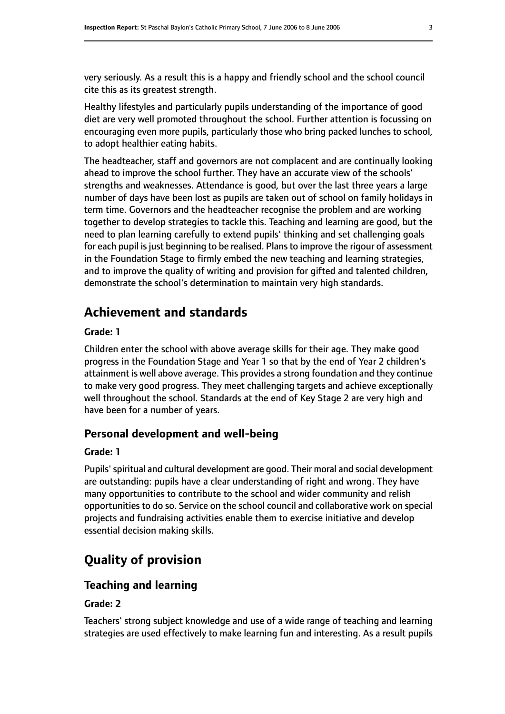very seriously. As a result this is a happy and friendly school and the school council cite this as its greatest strength.

Healthy lifestyles and particularly pupils understanding of the importance of good diet are very well promoted throughout the school. Further attention is focussing on encouraging even more pupils, particularly those who bring packed lunches to school, to adopt healthier eating habits.

The headteacher, staff and governors are not complacent and are continually looking ahead to improve the school further. They have an accurate view of the schools' strengths and weaknesses. Attendance is good, but over the last three years a large number of days have been lost as pupils are taken out of school on family holidays in term time. Governors and the headteacher recognise the problem and are working together to develop strategies to tackle this. Teaching and learning are good, but the need to plan learning carefully to extend pupils' thinking and set challenging goals for each pupil is just beginning to be realised. Plans to improve the rigour of assessment in the Foundation Stage to firmly embed the new teaching and learning strategies, and to improve the quality of writing and provision for gifted and talented children, demonstrate the school's determination to maintain very high standards.

# **Achievement and standards**

#### **Grade: 1**

Children enter the school with above average skills for their age. They make good progress in the Foundation Stage and Year 1 so that by the end of Year 2 children's attainment is well above average. This provides a strong foundation and they continue to make very good progress. They meet challenging targets and achieve exceptionally well throughout the school. Standards at the end of Key Stage 2 are very high and have been for a number of years.

## **Personal development and well-being**

#### **Grade: 1**

Pupils'spiritual and cultural development are good. Their moral and social development are outstanding: pupils have a clear understanding of right and wrong. They have many opportunities to contribute to the school and wider community and relish opportunities to do so. Service on the school council and collaborative work on special projects and fundraising activities enable them to exercise initiative and develop essential decision making skills.

# **Quality of provision**

## **Teaching and learning**

#### **Grade: 2**

Teachers' strong subject knowledge and use of a wide range of teaching and learning strategies are used effectively to make learning fun and interesting. As a result pupils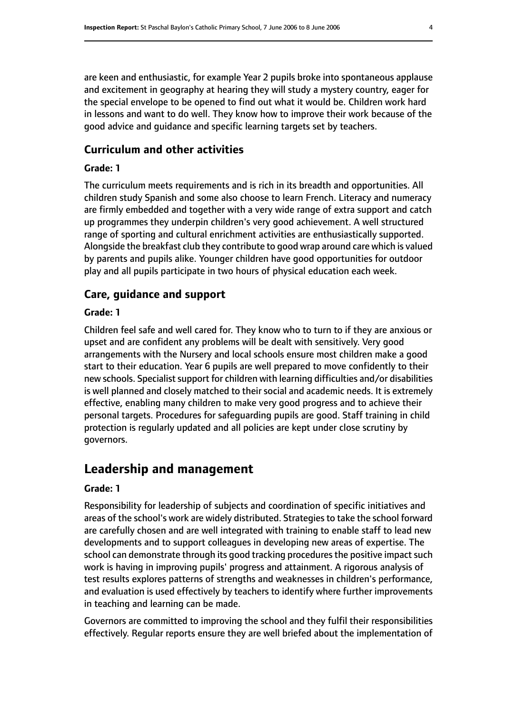are keen and enthusiastic, for example Year 2 pupils broke into spontaneous applause and excitement in geography at hearing they will study a mystery country, eager for the special envelope to be opened to find out what it would be. Children work hard in lessons and want to do well. They know how to improve their work because of the good advice and guidance and specific learning targets set by teachers.

## **Curriculum and other activities**

#### **Grade: 1**

The curriculum meets requirements and is rich in its breadth and opportunities. All children study Spanish and some also choose to learn French. Literacy and numeracy are firmly embedded and together with a very wide range of extra support and catch up programmes they underpin children's very good achievement. A well structured range of sporting and cultural enrichment activities are enthusiastically supported. Alongside the breakfast club they contribute to good wrap around care which is valued by parents and pupils alike. Younger children have good opportunities for outdoor play and all pupils participate in two hours of physical education each week.

## **Care, guidance and support**

#### **Grade: 1**

Children feel safe and well cared for. They know who to turn to if they are anxious or upset and are confident any problems will be dealt with sensitively. Very good arrangements with the Nursery and local schools ensure most children make a good start to their education. Year 6 pupils are well prepared to move confidently to their new schools. Specialist support for children with learning difficulties and/or disabilities is well planned and closely matched to their social and academic needs. It is extremely effective, enabling many children to make very good progress and to achieve their personal targets. Procedures for safeguarding pupils are good. Staff training in child protection is regularly updated and all policies are kept under close scrutiny by governors.

# **Leadership and management**

#### **Grade: 1**

Responsibility for leadership of subjects and coordination of specific initiatives and areas of the school's work are widely distributed. Strategies to take the school forward are carefully chosen and are well integrated with training to enable staff to lead new developments and to support colleagues in developing new areas of expertise. The school can demonstrate through its good tracking procedures the positive impact such work is having in improving pupils' progress and attainment. A rigorous analysis of test results explores patterns of strengths and weaknesses in children's performance, and evaluation is used effectively by teachers to identify where further improvements in teaching and learning can be made.

Governors are committed to improving the school and they fulfil their responsibilities effectively. Regular reports ensure they are well briefed about the implementation of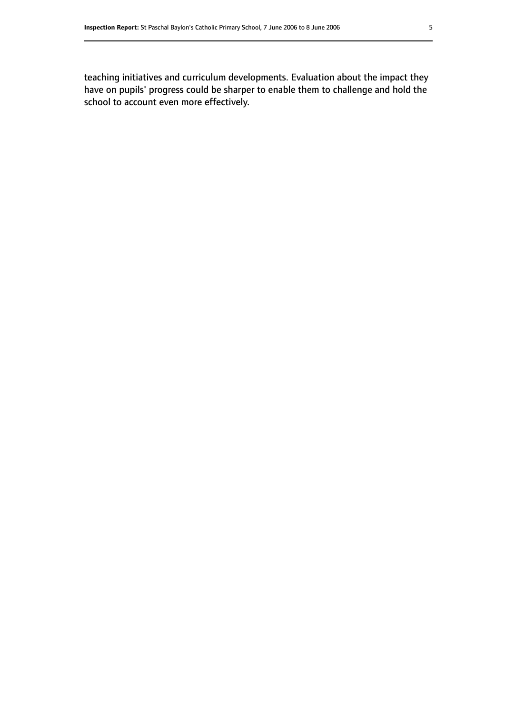teaching initiatives and curriculum developments. Evaluation about the impact they have on pupils' progress could be sharper to enable them to challenge and hold the school to account even more effectively.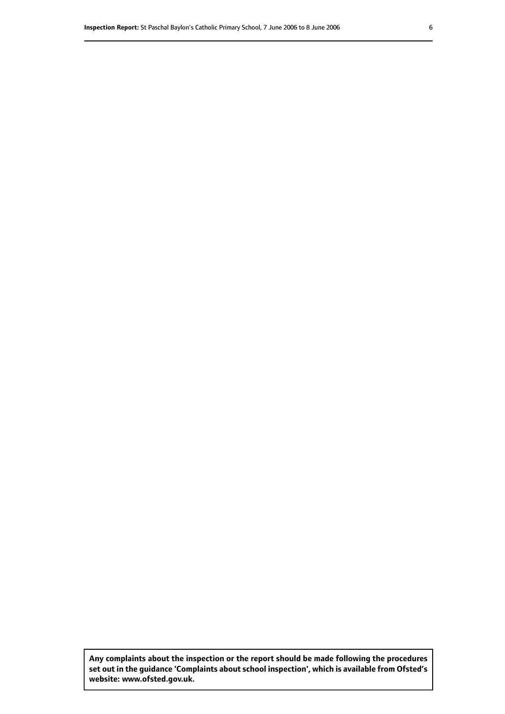**Any complaints about the inspection or the report should be made following the procedures set out inthe guidance 'Complaints about school inspection', whichis available from Ofsted's website: www.ofsted.gov.uk.**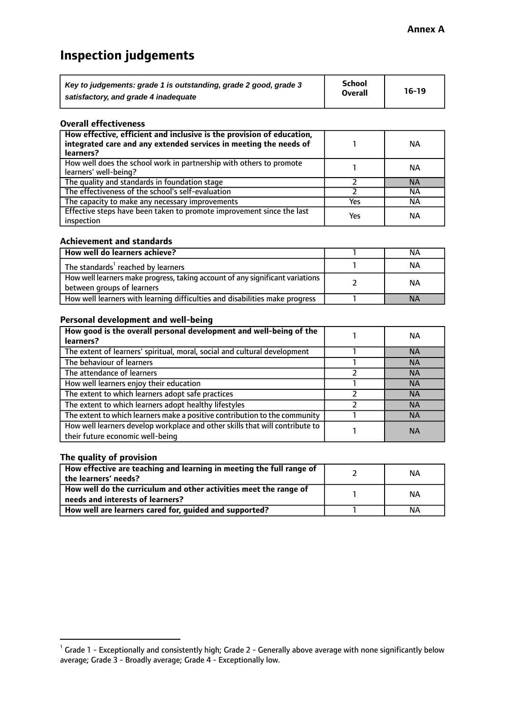# **Inspection judgements**

| Key to judgements: grade 1 is outstanding, grade 2 good, grade 3 | School         | $16-19$ |
|------------------------------------------------------------------|----------------|---------|
| satisfactory, and grade 4 inadequate                             | <b>Overall</b> |         |

#### **Overall effectiveness**

| How effective, efficient and inclusive is the provision of education,<br>integrated care and any extended services in meeting the needs of<br>learners? |     | NА        |
|---------------------------------------------------------------------------------------------------------------------------------------------------------|-----|-----------|
| How well does the school work in partnership with others to promote<br>learners' well-being?                                                            |     | NА        |
| The quality and standards in foundation stage                                                                                                           |     | <b>NA</b> |
| The effectiveness of the school's self-evaluation                                                                                                       |     | ΝA        |
| The capacity to make any necessary improvements                                                                                                         | Yes | NА        |
| Effective steps have been taken to promote improvement since the last<br>inspection                                                                     | Yes | ΝA        |

#### **Achievement and standards**

| How well do learners achieve?                                                                               | NА        |
|-------------------------------------------------------------------------------------------------------------|-----------|
| The standards <sup>1</sup> reached by learners                                                              | NА        |
| How well learners make progress, taking account of any significant variations<br>between groups of learners | <b>NA</b> |
| How well learners with learning difficulties and disabilities make progress                                 | <b>NA</b> |

#### **Personal development and well-being**

| How good is the overall personal development and well-being of the<br>learners?                                  | ΝA        |
|------------------------------------------------------------------------------------------------------------------|-----------|
| The extent of learners' spiritual, moral, social and cultural development                                        | <b>NA</b> |
| The behaviour of learners                                                                                        | <b>NA</b> |
| The attendance of learners                                                                                       | <b>NA</b> |
| How well learners enjoy their education                                                                          | <b>NA</b> |
| The extent to which learners adopt safe practices                                                                | <b>NA</b> |
| The extent to which learners adopt healthy lifestyles                                                            | <b>NA</b> |
| The extent to which learners make a positive contribution to the community                                       | <b>NA</b> |
| How well learners develop workplace and other skills that will contribute to<br>their future economic well-being | <b>NA</b> |

#### **The quality of provision**

| How effective are teaching and learning in meeting the full range of<br>the learners' needs?          | ΝA |
|-------------------------------------------------------------------------------------------------------|----|
| How well do the curriculum and other activities meet the range of<br>needs and interests of learners? | ΝA |
| How well are learners cared for, guided and supported?                                                | NА |

 $^1$  Grade 1 - Exceptionally and consistently high; Grade 2 - Generally above average with none significantly below average; Grade 3 - Broadly average; Grade 4 - Exceptionally low.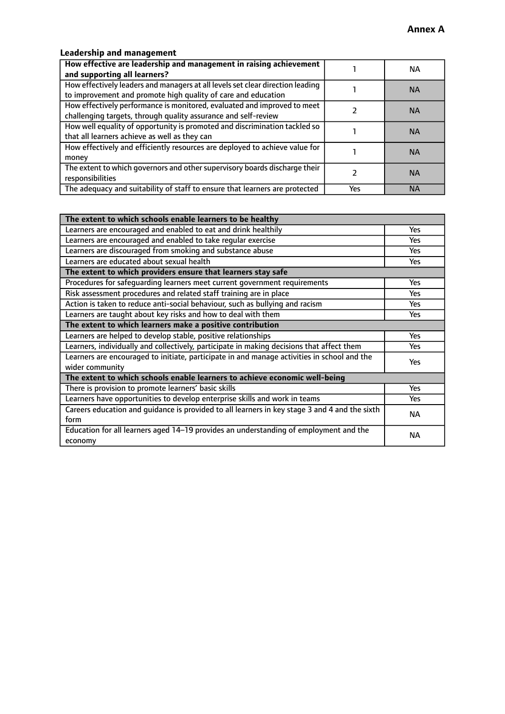## **Leadership and management**

| How effective are leadership and management in raising achievement<br>and supporting all learners?                                              |     | NA.       |
|-------------------------------------------------------------------------------------------------------------------------------------------------|-----|-----------|
| How effectively leaders and managers at all levels set clear direction leading<br>to improvement and promote high quality of care and education |     | <b>NA</b> |
| How effectively performance is monitored, evaluated and improved to meet<br>challenging targets, through quality assurance and self-review      |     | <b>NA</b> |
| How well equality of opportunity is promoted and discrimination tackled so<br>that all learners achieve as well as they can                     |     | <b>NA</b> |
| How effectively and efficiently resources are deployed to achieve value for<br>money                                                            |     | <b>NA</b> |
| The extent to which governors and other supervisory boards discharge their<br>responsibilities                                                  |     | <b>NA</b> |
| The adequacy and suitability of staff to ensure that learners are protected                                                                     | Yes | <b>NA</b> |

| The extent to which schools enable learners to be healthy                                     |            |  |
|-----------------------------------------------------------------------------------------------|------------|--|
| Learners are encouraged and enabled to eat and drink healthily                                | Yes        |  |
| Learners are encouraged and enabled to take regular exercise                                  | <b>Yes</b> |  |
| Learners are discouraged from smoking and substance abuse                                     | Yes        |  |
| Learners are educated about sexual health                                                     | Yes        |  |
| The extent to which providers ensure that learners stay safe                                  |            |  |
| Procedures for safequarding learners meet current government requirements                     | Yes        |  |
| Risk assessment procedures and related staff training are in place                            | Yes        |  |
| Action is taken to reduce anti-social behaviour, such as bullying and racism                  | <b>Yes</b> |  |
| Learners are taught about key risks and how to deal with them                                 | Yes        |  |
| The extent to which learners make a positive contribution                                     |            |  |
| Learners are helped to develop stable, positive relationships                                 | Yes        |  |
| Learners, individually and collectively, participate in making decisions that affect them     | Yes        |  |
| Learners are encouraged to initiate, participate in and manage activities in school and the   | <b>Yes</b> |  |
| wider community                                                                               |            |  |
| The extent to which schools enable learners to achieve economic well-being                    |            |  |
| There is provision to promote learners' basic skills                                          | Yes        |  |
| Learners have opportunities to develop enterprise skills and work in teams                    | Yes        |  |
| Careers education and quidance is provided to all learners in key stage 3 and 4 and the sixth | <b>NA</b>  |  |
| form                                                                                          |            |  |
| Education for all learners aged 14-19 provides an understanding of employment and the         | <b>NA</b>  |  |
| economy                                                                                       |            |  |